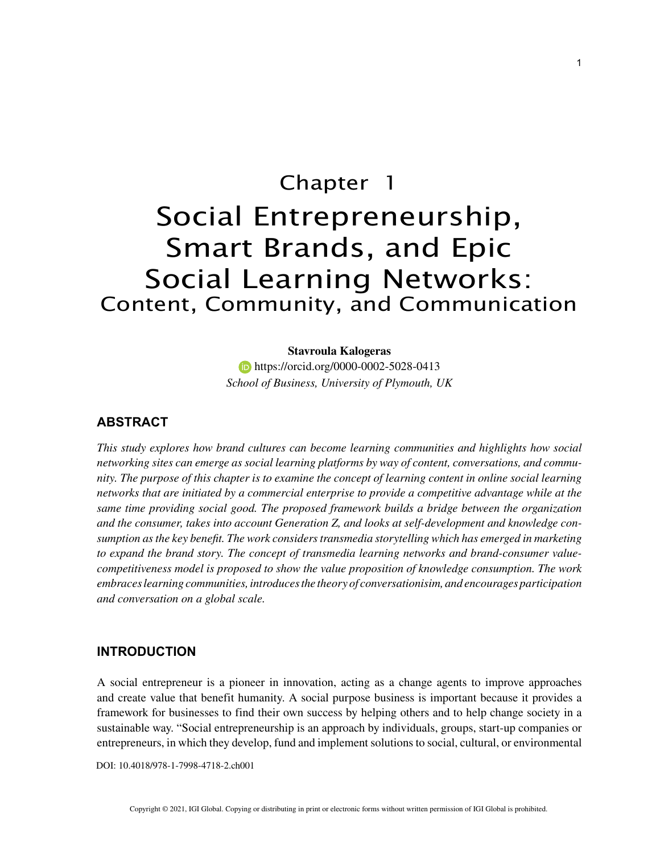# Chapter 1 Social Entrepreneurship, Smart Brands, and Epic Social Learning Networks: Content, Community, and Communication

#### **Stavroula Kalogeras**

**https://orcid.org/0000-0002-5028-0413** *School of Business, University of Plymouth, UK*

# **ABSTRACT**

*This study explores how brand cultures can become learning communities and highlights how social networking sites can emerge as social learning platforms by way of content, conversations, and community. The purpose of this chapter is to examine the concept of learning content in online social learning networks that are initiated by a commercial enterprise to provide a competitive advantage while at the same time providing social good. The proposed framework builds a bridge between the organization and the consumer, takes into account Generation Z, and looks at self-development and knowledge consumption as the key benefit. The work considers transmedia storytelling which has emerged in marketing to expand the brand story. The concept of transmedia learning networks and brand-consumer valuecompetitiveness model is proposed to show the value proposition of knowledge consumption. The work embraces learning communities, introduces the theory of conversationisim, and encourages participation and conversation on a global scale.*

## **INTRODUCTION**

A social entrepreneur is a pioneer in innovation, acting as a change agents to improve approaches and create value that benefit humanity. A social purpose business is important because it provides a framework for businesses to find their own success by helping others and to help change society in a sustainable way. "Social entrepreneurship is an approach by individuals, groups, start-up companies or entrepreneurs, in which they develop, fund and implement solutions to social, cultural, or environmental

DOI: 10.4018/978-1-7998-4718-2.ch001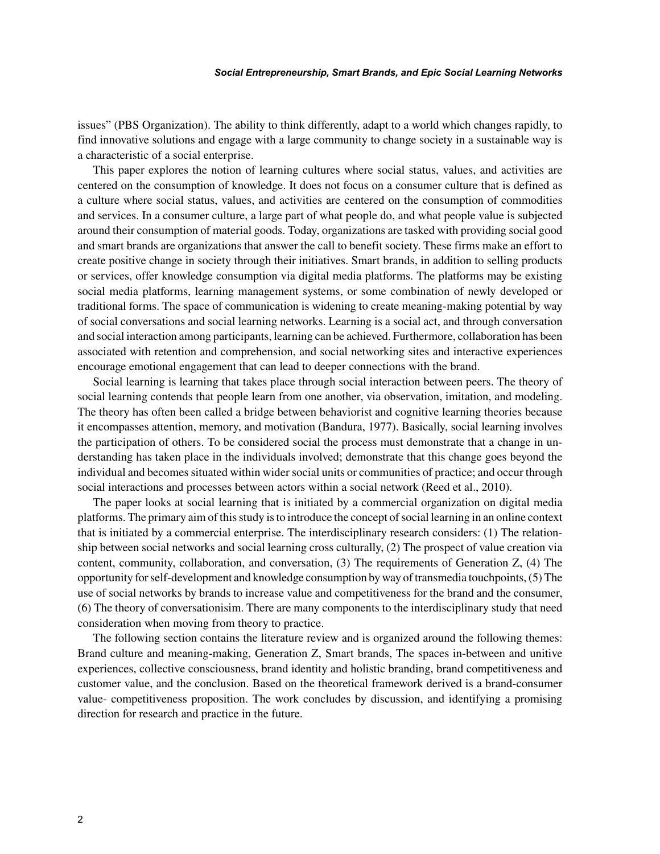issues" (PBS Organization). The ability to think differently, adapt to a world which changes rapidly, to find innovative solutions and engage with a large community to change society in a sustainable way is a characteristic of a social enterprise.

This paper explores the notion of learning cultures where social status, values, and activities are centered on the consumption of knowledge. It does not focus on a consumer culture that is defined as a culture where social status, values, and activities are centered on the consumption of commodities and services. In a consumer culture, a large part of what people do, and what people value is subjected around their consumption of material goods. Today, organizations are tasked with providing social good and smart brands are organizations that answer the call to benefit society. These firms make an effort to create positive change in society through their initiatives. Smart brands, in addition to selling products or services, offer knowledge consumption via digital media platforms. The platforms may be existing social media platforms, learning management systems, or some combination of newly developed or traditional forms. The space of communication is widening to create meaning-making potential by way of social conversations and social learning networks. Learning is a social act, and through conversation and social interaction among participants, learning can be achieved. Furthermore, collaboration has been associated with retention and comprehension, and social networking sites and interactive experiences encourage emotional engagement that can lead to deeper connections with the brand.

Social learning is learning that takes place through social interaction between peers. The theory of social learning contends that people learn from one another, via observation, imitation, and modeling. The theory has often been called a bridge between behaviorist and cognitive learning theories because it encompasses attention, memory, and motivation (Bandura, 1977). Basically, social learning involves the participation of others. To be considered social the process must demonstrate that a change in understanding has taken place in the individuals involved; demonstrate that this change goes beyond the individual and becomes situated within wider social units or communities of practice; and occur through social interactions and processes between actors within a social network (Reed et al., 2010).

The paper looks at social learning that is initiated by a commercial organization on digital media platforms. The primary aim of this study is to introduce the concept of social learning in an online context that is initiated by a commercial enterprise. The interdisciplinary research considers: (1) The relationship between social networks and social learning cross culturally, (2) The prospect of value creation via content, community, collaboration, and conversation, (3) The requirements of Generation Z, (4) The opportunity for self-development and knowledge consumption by way of transmedia touchpoints, (5) The use of social networks by brands to increase value and competitiveness for the brand and the consumer, (6) The theory of conversationisim. There are many components to the interdisciplinary study that need consideration when moving from theory to practice.

The following section contains the literature review and is organized around the following themes: Brand culture and meaning-making, Generation Z, Smart brands, The spaces in-between and unitive experiences, collective consciousness, brand identity and holistic branding, brand competitiveness and customer value, and the conclusion. Based on the theoretical framework derived is a brand-consumer value- competitiveness proposition. The work concludes by discussion, and identifying a promising direction for research and practice in the future.